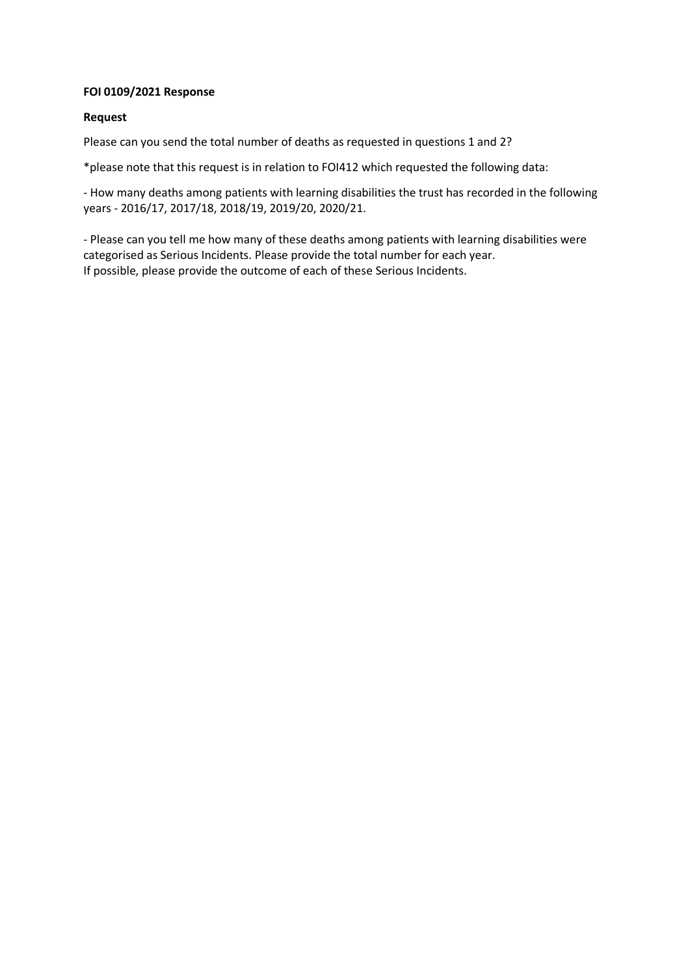## **FOI 0109/2021 Response**

## **Request**

Please can you send the total number of deaths as requested in questions 1 and 2?

\*please note that this request is in relation to FOI412 which requested the following data:

- How many deaths among patients with learning disabilities the trust has recorded in the following years - 2016/17, 2017/18, 2018/19, 2019/20, 2020/21.

- Please can you tell me how many of these deaths among patients with learning disabilities were categorised as Serious Incidents. Please provide the total number for each year. If possible, please provide the outcome of each of these Serious Incidents.